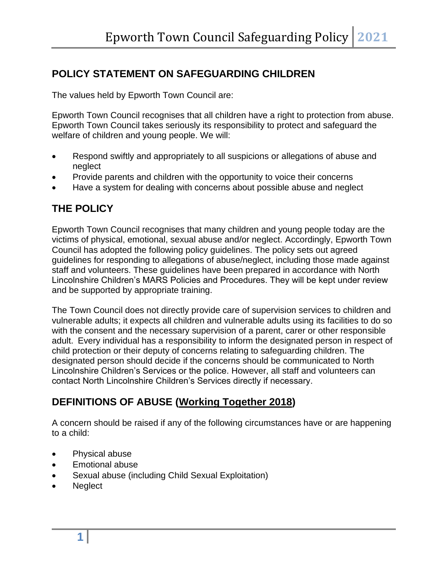# **POLICY STATEMENT ON SAFEGUARDING CHILDREN**

The values held by Epworth Town Council are:

Epworth Town Council recognises that all children have a right to protection from abuse. Epworth Town Council takes seriously its responsibility to protect and safeguard the welfare of children and young people. We will:

- Respond swiftly and appropriately to all suspicions or allegations of abuse and neglect
- Provide parents and children with the opportunity to voice their concerns
- Have a system for dealing with concerns about possible abuse and neglect

# **THE POLICY**

Epworth Town Council recognises that many children and young people today are the victims of physical, emotional, sexual abuse and/or neglect. Accordingly, Epworth Town Council has adopted the following policy guidelines. The policy sets out agreed guidelines for responding to allegations of abuse/neglect, including those made against staff and volunteers. These guidelines have been prepared in accordance with North Lincolnshire Children's MARS Policies and Procedures. They will be kept under review and be supported by appropriate training.

The Town Council does not directly provide care of supervision services to children and vulnerable adults; it expects all children and vulnerable adults using its facilities to do so with the consent and the necessary supervision of a parent, carer or other responsible adult. Every individual has a responsibility to inform the designated person in respect of child protection or their deputy of concerns relating to safeguarding children. The designated person should decide if the concerns should be communicated to North Lincolnshire Children's Services or the police. However, all staff and volunteers can contact North Lincolnshire Children's Services directly if necessary.

# **DEFINITIONS OF ABUSE [\(Working Together 2018\)](https://www.gov.uk/government/publications/working-together-to-safeguard-children--2)**

A concern should be raised if any of the following circumstances have or are happening to a child:

- Physical abuse
- Emotional abuse
- Sexual abuse (including Child Sexual Exploitation)
- **Neglect**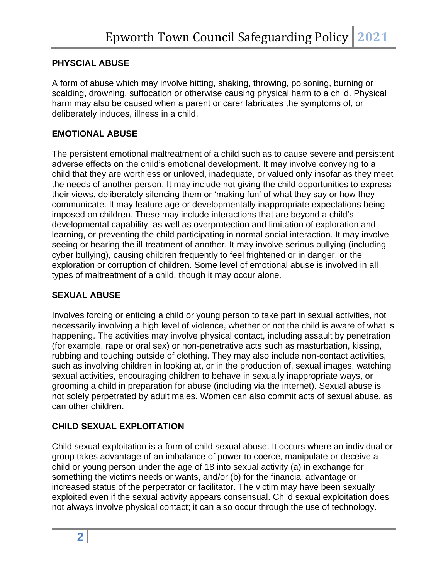#### **PHYSCIAL ABUSE**

A form of abuse which may involve hitting, shaking, throwing, poisoning, burning or scalding, drowning, suffocation or otherwise causing physical harm to a child. Physical harm may also be caused when a parent or carer fabricates the symptoms of, or deliberately induces, illness in a child.

#### **EMOTIONAL ABUSE**

The persistent emotional maltreatment of a child such as to cause severe and persistent adverse effects on the child's emotional development. It may involve conveying to a child that they are worthless or unloved, inadequate, or valued only insofar as they meet the needs of another person. It may include not giving the child opportunities to express their views, deliberately silencing them or 'making fun' of what they say or how they communicate. It may feature age or developmentally inappropriate expectations being imposed on children. These may include interactions that are beyond a child's developmental capability, as well as overprotection and limitation of exploration and learning, or preventing the child participating in normal social interaction. It may involve seeing or hearing the ill-treatment of another. It may involve serious bullying (including cyber bullying), causing children frequently to feel frightened or in danger, or the exploration or corruption of children. Some level of emotional abuse is involved in all types of maltreatment of a child, though it may occur alone.

### **SEXUAL ABUSE**

Involves forcing or enticing a child or young person to take part in sexual activities, not necessarily involving a high level of violence, whether or not the child is aware of what is happening. The activities may involve physical contact, including assault by penetration (for example, rape or oral sex) or non-penetrative acts such as masturbation, kissing, rubbing and touching outside of clothing. They may also include non-contact activities, such as involving children in looking at, or in the production of, sexual images, watching sexual activities, encouraging children to behave in sexually inappropriate ways, or grooming a child in preparation for abuse (including via the internet). Sexual abuse is not solely perpetrated by adult males. Women can also commit acts of sexual abuse, as can other children.

### **CHILD SEXUAL EXPLOITATION**

Child sexual exploitation is a form of child sexual abuse. It occurs where an individual or group takes advantage of an imbalance of power to coerce, manipulate or deceive a child or young person under the age of 18 into sexual activity (a) in exchange for something the victims needs or wants, and/or (b) for the financial advantage or increased status of the perpetrator or facilitator. The victim may have been sexually exploited even if the sexual activity appears consensual. Child sexual exploitation does not always involve physical contact; it can also occur through the use of technology.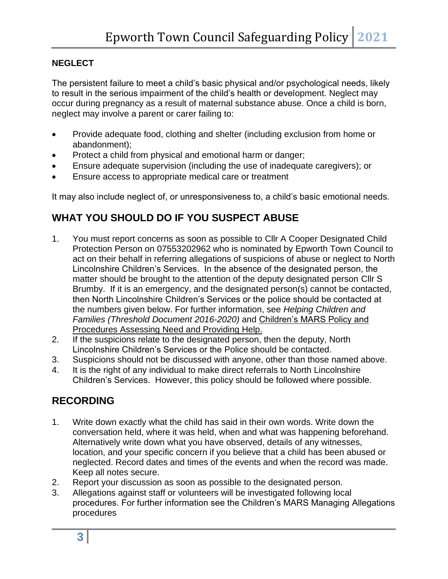#### **NEGLECT**

The persistent failure to meet a child's basic physical and/or psychological needs, likely to result in the serious impairment of the child's health or development. Neglect may occur during pregnancy as a result of maternal substance abuse. Once a child is born, neglect may involve a parent or carer failing to:

- Provide adequate food, clothing and shelter (including exclusion from home or abandonment);
- Protect a child from physical and emotional harm or danger;
- Ensure adequate supervision (including the use of inadequate caregivers); or
- Ensure access to appropriate medical care or treatment

It may also include neglect of, or unresponsiveness to, a child's basic emotional needs.

# **WHAT YOU SHOULD DO IF YOU SUSPECT ABUSE**

- 1. You must report concerns as soon as possible to Cllr A Cooper Designated Child Protection Person on 07553202962 who is nominated by Epworth Town Council to act on their behalf in referring allegations of suspicions of abuse or neglect to North Lincolnshire Children's Services. In the absence of the designated person, the matter should be brought to the attention of the deputy designated person Cllr S Brumby. If it is an emergency, and the designated person(s) cannot be contacted, then North Lincolnshire Children's Services or the police should be contacted at the numbers given below. For further information, see *[Helping Children and](http://www.northlincscmars.co.uk/wp-content/uploads/2018/10/Helping-Children-Families-revised-Oct-2018-final.pdf)  [Families \(Threshold Document](http://www.northlincscmars.co.uk/wp-content/uploads/2018/10/Helping-Children-Families-revised-Oct-2018-final.pdf) [2016-2020\)](http://www.northlincscmars.co.uk/wp-content/uploads/2018/10/Helping-Children-Families-revised-Oct-2018-final.pdf)* and [Children's MARS Policy and](http://www.northlincscmars.co.uk/wp-content/uploads/2018/10/MARS-Policy-and-Procedures-Assessing-Need-and-Providing-Help.pdf)  [Procedures Assessing](http://www.northlincscmars.co.uk/wp-content/uploads/2018/10/MARS-Policy-and-Procedures-Assessing-Need-and-Providing-Help.pdf) [Need and Providing Help.](http://www.northlincscmars.co.uk/wp-content/uploads/2018/10/MARS-Policy-and-Procedures-Assessing-Need-and-Providing-Help.pdf)
- 2. If the suspicions relate to the designated person, then the deputy, North Lincolnshire Children's Services or the Police should be contacted.
- 3. Suspicions should not be discussed with anyone, other than those named above.
- 4. It is the right of any individual to make direct referrals to North Lincolnshire Children's Services. However, this policy should be followed where possible.

# **RECORDING**

- 1. Write down exactly what the child has said in their own words. Write down the conversation held, where it was held, when and what was happening beforehand. Alternatively write down what you have observed, details of any witnesses, location, and your specific concern if you believe that a child has been abused or neglected. Record dates and times of the events and when the record was made. Keep all notes secure.
- 2. Report your discussion as soon as possible to the designated person.
- 3. Allegations against staff or volunteers will be investigated following local procedures. For further information see the Children's MARS Managing Allegations procedures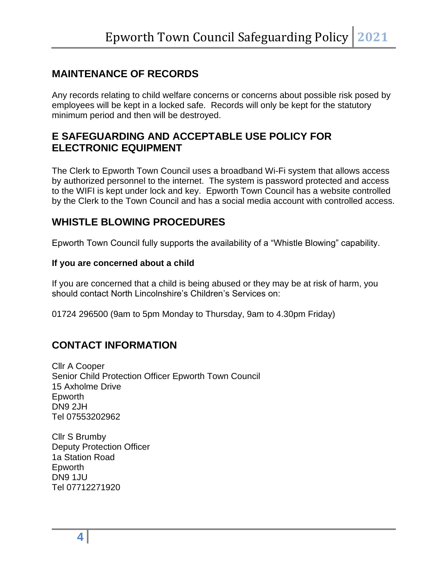## **MAINTENANCE OF RECORDS**

Any records relating to child welfare concerns or concerns about possible risk posed by employees will be kept in a locked safe. Records will only be kept for the statutory minimum period and then will be destroyed.

## **E SAFEGUARDING AND ACCEPTABLE USE POLICY FOR ELECTRONIC EQUIPMENT**

The Clerk to Epworth Town Council uses a broadband Wi-Fi system that allows access by authorized personnel to the internet. The system is password protected and access to the WIFI is kept under lock and key. Epworth Town Council has a website controlled by the Clerk to the Town Council and has a social media account with controlled access.

## **WHISTLE BLOWING PROCEDURES**

Epworth Town Council fully supports the availability of a "Whistle Blowing" capability.

#### **If you are concerned about a child**

If you are concerned that a child is being abused or they may be at risk of harm, you should contact North Lincolnshire's Children's Services on:

01724 296500 (9am to 5pm Monday to Thursday, 9am to 4.30pm Friday)

## **CONTACT INFORMATION**

Cllr A Cooper Senior Child Protection Officer Epworth Town Council 15 Axholme Drive Epworth DN9 2JH Tel 07553202962

Cllr S Brumby Deputy Protection Officer 1a Station Road Epworth DN9 1JU Tel 07712271920